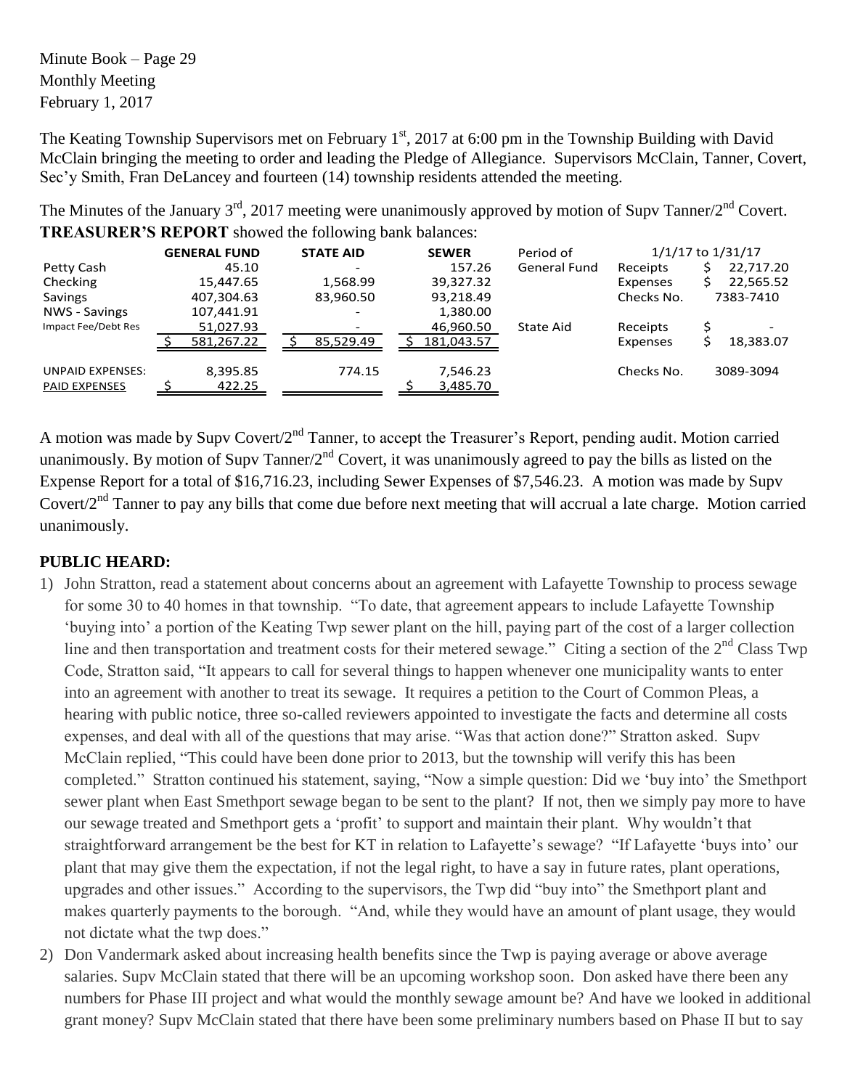Minute Book – Page 29 Monthly Meeting February 1, 2017

The Keating Township Supervisors met on February 1<sup>st</sup>, 2017 at 6:00 pm in the Township Building with David McClain bringing the meeting to order and leading the Pledge of Allegiance. Supervisors McClain, Tanner, Covert, Sec'y Smith, Fran DeLancey and fourteen (14) township residents attended the meeting.

The Minutes of the January  $3<sup>rd</sup>$ , 2017 meeting were unanimously approved by motion of Supv Tanner/2<sup>nd</sup> Covert. **TREASURER'S REPORT** showed the following bank balances:

|                                                 | <b>GENERAL FUND</b> | <b>STATE AID</b>         | <b>SEWER</b>         | Period of           |                 | $1/1/17$ to $1/31/17$ |
|-------------------------------------------------|---------------------|--------------------------|----------------------|---------------------|-----------------|-----------------------|
| Petty Cash                                      | 45.10               | $\overline{\phantom{0}}$ | 157.26               | <b>General Fund</b> | Receipts        | 22,717.20             |
| Checking                                        | 15,447.65           | 1,568.99                 | 39,327.32            |                     | Expenses        | 22,565.52             |
| Savings                                         | 407,304.63          | 83,960.50                | 93,218.49            |                     | Checks No.      | 7383-7410             |
| <b>NWS - Savings</b>                            | 107,441.91          |                          | 1,380.00             |                     |                 |                       |
| Impact Fee/Debt Res                             | 51,027.93           |                          | 46,960.50            | State Aid           | Receipts        |                       |
|                                                 | 581,267.22          | 85,529.49                | 181,043.57           |                     | <b>Expenses</b> | 18,383.07             |
| <b>UNPAID EXPENSES:</b><br><b>PAID EXPENSES</b> | 8,395.85<br>422.25  | 774.15                   | 7,546.23<br>3,485.70 |                     | Checks No.      | 3089-3094             |

A motion was made by Supv Covert/2<sup>nd</sup> Tanner, to accept the Treasurer's Report, pending audit. Motion carried unanimously. By motion of Supv Tanner/ $2<sup>nd</sup>$  Covert, it was unanimously agreed to pay the bills as listed on the Expense Report for a total of \$16,716.23, including Sewer Expenses of \$7,546.23. A motion was made by Supv Covert/2<sup>nd</sup> Tanner to pay any bills that come due before next meeting that will accrual a late charge. Motion carried unanimously.

## **PUBLIC HEARD:**

- 1) John Stratton, read a statement about concerns about an agreement with Lafayette Township to process sewage for some 30 to 40 homes in that township. "To date, that agreement appears to include Lafayette Township 'buying into' a portion of the Keating Twp sewer plant on the hill, paying part of the cost of a larger collection line and then transportation and treatment costs for their metered sewage." Citing a section of the  $2<sup>nd</sup>$  Class Twp Code, Stratton said, "It appears to call for several things to happen whenever one municipality wants to enter into an agreement with another to treat its sewage. It requires a petition to the Court of Common Pleas, a hearing with public notice, three so-called reviewers appointed to investigate the facts and determine all costs expenses, and deal with all of the questions that may arise. "Was that action done?" Stratton asked. Supv McClain replied, "This could have been done prior to 2013, but the township will verify this has been completed." Stratton continued his statement, saying, "Now a simple question: Did we 'buy into' the Smethport sewer plant when East Smethport sewage began to be sent to the plant? If not, then we simply pay more to have our sewage treated and Smethport gets a 'profit' to support and maintain their plant. Why wouldn't that straightforward arrangement be the best for KT in relation to Lafayette's sewage? "If Lafayette 'buys into' our plant that may give them the expectation, if not the legal right, to have a say in future rates, plant operations, upgrades and other issues." According to the supervisors, the Twp did "buy into" the Smethport plant and makes quarterly payments to the borough. "And, while they would have an amount of plant usage, they would not dictate what the twp does."
- 2) Don Vandermark asked about increasing health benefits since the Twp is paying average or above average salaries. Supv McClain stated that there will be an upcoming workshop soon. Don asked have there been any numbers for Phase III project and what would the monthly sewage amount be? And have we looked in additional grant money? Supv McClain stated that there have been some preliminary numbers based on Phase II but to say